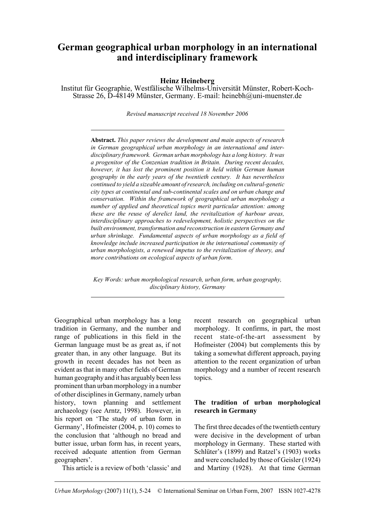# **German geographical urban morphology in an international and interdisciplinary framework**

# **Heinz Heineberg**

Institut für Geographie, Westfälische Wilhelms-Universität Münster, Robert-Koch-Strasse 26, D-48149 Münster, Germany. E-mail: heinebh@uni-muenster.de

*Revised manuscript received 18 November 2006*

**Abstract.** *This paper reviews the development and main aspects of research in German geographical urban morphology in an international and interdisciplinary framework. German urban morphology has a long history. It was a progenitor of the Conzenian tradition in Britain. During recent decades, however, it has lost the prominent position it held within German human geography in the early years of the twentieth century. It has nevertheless continued to yield a sizeable amount of research, including on cultural-genetic city types at continental and sub-continental scales and on urban change and conservation. Within the framework of geographical urban morphology a number of applied and theoretical topics merit particular attention: among these are the reuse of derelict land, the revitalization of harbour areas, interdisciplinary approaches to redevelopment, holistic perspectives on the built environment, transformation and reconstruction in eastern Germany and urban shrinkage. Fundamental aspects of urban morphology as a field of knowledge include increased participation in the international community of urban morphologists, a renewed impetus to the revitalization of theory, and more contributions on ecological aspects of urban form*.

*Key Words: urban morphological research, urban form, urban geography, disciplinary history, Germany*

Geographical urban morphology has a long tradition in Germany, and the number and range of publications in this field in the German language must be as great as, if not greater than, in any other language. But its growth in recent decades has not been as evident as that in many other fields of German human geography and it has arguably been less prominent than urban morphology in a number of other disciplines in Germany, namely urban history, town planning and settlement archaeology (see Arntz, 1998). However, in his report on 'The study of urban form in Germany', Hofmeister (2004, p. 10) comes to the conclusion that 'although no bread and butter issue, urban form has, in recent years, received adequate attention from German geographers'.

This article is a review of both 'classic' and

recent research on geographical urban morphology. It confirms, in part, the most recent state-of-the-art assessment by Hofmeister (2004) but complements this by taking a somewhat different approach, paying attention to the recent organization of urban morphology and a number of recent research topics.

# **The tradition of urban morphological research in Germany**

The first three decades of the twentieth century were decisive in the development of urban morphology in Germany. These started with Schlüter's (1899) and Ratzel's (1903) works and were concluded by those of Geisler (1924) and Martiny (1928). At that time German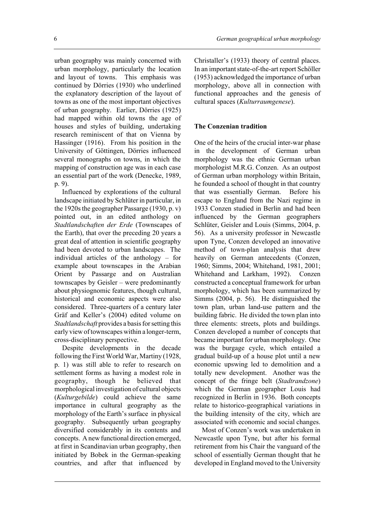urban geography was mainly concerned with urban morphology, particularly the location and layout of towns. This emphasis was continued by Dörries (1930) who underlined the explanatory description of the layout of towns as one of the most important objectives of urban geography. Earlier, Dörries (1925) had mapped within old towns the age of houses and styles of building, undertaking research reminiscent of that on Vienna by Hassinger (1916). From his position in the University of Göttingen, Dörries influenced several monographs on towns, in which the mapping of construction age was in each case an essential part of the work (Denecke, 1989, p. 9).

Influenced by explorations of the cultural landscape initiated by Schlüter in particular, in the 1920s the geographer Passarge (1930, p. v) pointed out, in an edited anthology on *Stadtlandschaften der Erde* (Townscapes of the Earth), that over the preceding 20 years a great deal of attention in scientific geography had been devoted to urban landscapes. The individual articles of the anthology – for example about townscapes in the Arabian Orient by Passarge and on Australian townscapes by Geisler – were predominantly about physiognomic features, though cultural, historical and economic aspects were also considered. Three-quarters of a century later Gräf and Keller's (2004) edited volume on *Stadtlandschaft* provides a basis for setting this early view of townscapes within a longer-term, cross-disciplinary perspective.

Despite developments in the decade following the First World War, Martiny (1928, p. 1) was still able to refer to research on settlement forms as having a modest role in geography, though he believed that morphological investigation of cultural objects (*Kulturgebilde*) could achieve the same importance in cultural geography as the morphology of the Earth's surface in physical geography. Subsequently urban geography diversified considerably in its contents and concepts. A new functional direction emerged, at first in Scandinavian urban geography, then initiated by Bobek in the German-speaking countries, and after that influenced by

Christaller's (1933) theory of central places. In an important state-of-the-art report Schöller (1953) acknowledged the importance of urban morphology, above all in connection with functional approaches and the genesis of cultural spaces (*Kulturraumgenese*).

#### **The Conzenian tradition**

One of the heirs of the crucial inter-war phase in the development of German urban morphology was the ethnic German urban morphologist M.R.G. Conzen. As an outpost of German urban morphology within Britain, he founded a school of thought in that country that was essentially German. Before his escape to England from the Nazi regime in 1933 Conzen studied in Berlin and had been influenced by the German geographers Schlüter, Geisler and Louis (Simms, 2004, p. 56). As a university professor in Newcastle upon Tyne, Conzen developed an innovative method of town-plan analysis that drew heavily on German antecedents (Conzen, 1960; Simms, 2004; Whitehand, 1981, 2001; Whitehand and Larkham, 1992). Conzen constructed a conceptual framework for urban morphology, which has been summarized by Simms (2004, p. 56). He distinguished the town plan, urban land-use pattern and the building fabric. He divided the town plan into three elements: streets, plots and buildings. Conzen developed a number of concepts that became important for urban morphology. One was the burgage cycle, which entailed a gradual build-up of a house plot until a new economic upswing led to demolition and a totally new development. Another was the concept of the fringe belt (*Stadtrandzone*) which the German geographer Louis had recognized in Berlin in 1936. Both concepts relate to historico-geographical variations in the building intensity of the city, which are associated with economic and social changes.

Most of Conzen's work was undertaken in Newcastle upon Tyne, but after his formal retirement from his Chair the vanguard of the school of essentially German thought that he developed in England moved to the University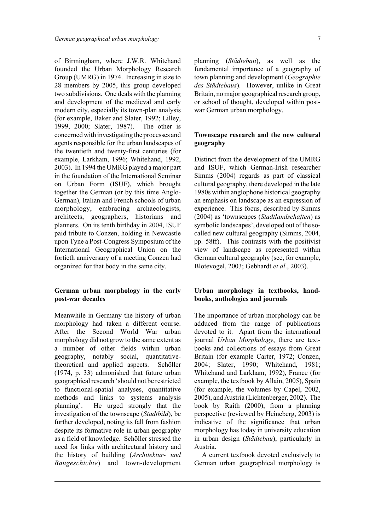of Birmingham, where J.W.R. Whitehand founded the Urban Morphology Research Group (UMRG) in 1974. Increasing in size to 28 members by 2005, this group developed two subdivisions. One deals with the planning and development of the medieval and early modern city, especially its town-plan analysis (for example, Baker and Slater, 1992; Lilley, 1999, 2000; Slater, 1987). The other is concerned with investigating the processes and agents responsible for the urban landscapes of the twentieth and twenty-first centuries (for example, Larkham, 1996; Whitehand, 1992, 2003). In 1994 the UMRG played a major part in the foundation of the International Seminar on Urban Form (ISUF), which brought together the German (or by this time Anglo-German), Italian and French schools of urban morphology, embracing archaeologists, architects, geographers, historians and planners. On its tenth birthday in 2004, ISUF paid tribute to Conzen, holding in Newcastle upon Tyne a Post-Congress Symposium of the International Geographical Union on the fortieth anniversary of a meeting Conzen had organized for that body in the same city.

## **German urban morphology in the early post-war decades**

Meanwhile in Germany the history of urban morphology had taken a different course. After the Second World War urban morphology did not grow to the same extent as a number of other fields within urban geography, notably social, quantitativetheoretical and applied aspects. Schöller (1974, p. 33) admonished that future urban geographical research 'should not be restricted to functional-spatial analyses, quantitative methods and links to systems analysis planning'. He urged strongly that the investigation of the townscape (*Stadtbild*), be further developed, noting its fall from fashion despite its formative role in urban geography as a field of knowledge. Schöller stressed the need for links with architectural history and the history of building (*Architektur- und Baugeschichte*) and town-development planning (*Städtebau*), as well as the fundamental importance of a geography of town planning and development (*Geographie des Städtebaus*). However, unlike in Great Britain, no major geographical research group, or school of thought, developed within postwar German urban morphology.

# **Townscape research and the new cultural geography**

Distinct from the development of the UMRG and ISUF, which German-Irish researcher Simms (2004) regards as part of classical cultural geography, there developed in the late 1980s within anglophone historical geography an emphasis on landscape as an expression of experience. This focus, described by Simms (2004) as 'townscapes (*Stadtlandschaften*) as symbolic landscapes', developed out of the socalled new cultural geography (Simms, 2004, pp. 58ff). This contrasts with the positivist view of landscape as represented within German cultural geography (see, for example, Blotevogel, 2003; Gebhardt *et al*., 2003).

# **Urban morphology in textbooks, handbooks, anthologies and journals**

The importance of urban morphology can be adduced from the range of publications devoted to it. Apart from the international journal *Urban Morphology*, there are textbooks and collections of essays from Great Britain (for example Carter, 1972; Conzen, 2004; Slater, 1990; Whitehand, 1981; Whitehand and Larkham, 1992), France (for example, the textbook by Allain, 2005), Spain (for example, the volumes by Capel, 2002, 2005), and Austria (Lichtenberger, 2002). The book by Raith (2000), from a planning perspective (reviewed by Heineberg, 2003) is indicative of the significance that urban morphology has today in university education in urban design (*Städtebau*), particularly in Austria.

A current textbook devoted exclusively to German urban geographical morphology is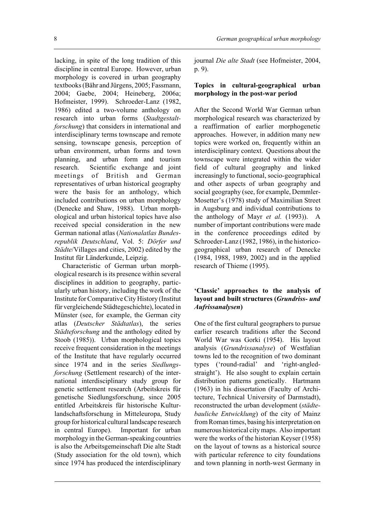lacking, in spite of the long tradition of this discipline in central Europe. However, urban morphology is covered in urban geography textbooks (Bähr and Jürgens, 2005; Fassmann, 2004; Gaebe, 2004; Heineberg, 2006a; Hofmeister, 1999). Schroeder-Lanz (1982, 1986) edited a two-volume anthology on research into urban forms (*Stadtgestaltforschung*) that considers in international and interdisciplinary terms townscape and remote sensing, townscape genesis, perception of urban environment, urban forms and town planning, and urban form and tourism research. Scientific exchange and joint meetings of British and German representatives of urban historical geography were the basis for an anthology, which included contributions on urban morphology (Denecke and Shaw, 1988). Urban morphological and urban historical topics have also received special consideration in the new German national atlas (*Nationalatlas Bundesrepublik Deutschland*, Vol. 5: *Dörfer und Städte*/Villages and cities, 2002) edited by the Institut für Länderkunde, Leipzig.

Characteristic of German urban morphological research is its presence within several disciplines in addition to geography, particularly urban history, including the work of the Institute for Comparative City History (Institut für vergleichende Städtegeschichte), located in Münster (see, for example, the German city atlas (*Deutscher Städtatlas*), the series *Städteforschung* and the anthology edited by Stoob (1985)). Urban morphological topics receive frequent consideration in the meetings of the Institute that have regularly occurred since 1974 and in the series *Siedlungsforschung* (Settlement research) of the international interdisciplinary study group for genetic settlement research (Arbeitskreis für genetische Siedlungsforschung, since 2005 entitled Arbeitskreis für historische Kulturlandschaftsforschung in Mitteleuropa, Study group for historical cultural landscape research in central Europe). Important for urban morphology in the German-speaking countries is also the Arbeitsgemeinschaft Die alte Stadt (Study association for the old town), which since 1974 has produced the interdisciplinary

journal *Die alte Stadt* (see Hofmeister, 2004, p. 9).

# **Topics in cultural-geographical urban morphology in the post-war period**

After the Second World War German urban morphological research was characterized by a reaffirmation of earlier morphogenetic approaches. However, in addition many new topics were worked on, frequently within an interdisciplinary context. Questions about the townscape were integrated within the wider field of cultural geography and linked increasingly to functional, socio-geographical and other aspects of urban geography and social geography (see, for example, Demmler-Mosetter's (1978) study of Maximilian Street in Augsburg and individual contributions to the anthology of Mayr *et al.* (1993)). A number of important contributions were made in the conference proceedings edited by Schroeder-Lanz (1982, 1986), in the historicogeographical urban research of Denecke (1984, 1988, 1989, 2002) and in the applied research of Thieme (1995).

# **'Classic' approaches to the analysis of layout and built structures (***Grundriss- und Aufrissanalysen***)**

One of the first cultural geographers to pursue earlier research traditions after the Second World War was Gorki (1954). His layout analysis (*Grundrissanalyse*) of Westfalian towns led to the recognition of two dominant types ('round-radial' and 'right-angledstraight'). He also sought to explain certain distribution patterns genetically. Hartmann (1963) in his dissertation (Faculty of Architecture, Technical University of Darmstadt), reconstructed the urban development (*städtebauliche Entwicklung*) of the city of Mainz from Roman times, basing his interpretation on numerous historical city maps. Also important were the works of the historian Keyser (1958) on the layout of towns as a historical source with particular reference to city foundations and town planning in north-west Germany in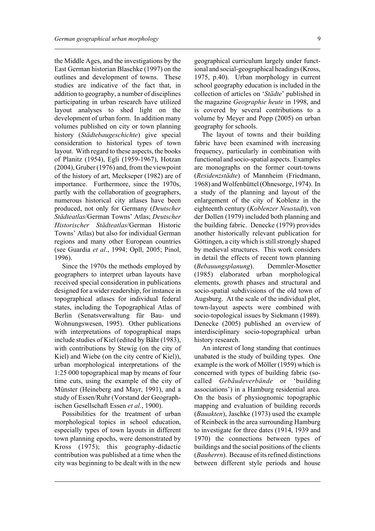the Middle Ages, and the investigations by the East German historian Blaschke (1997) on the outlines and development of towns. These studies are indicative of the fact that, in addition to geography, a number of disciplines participating in urban research have utilized layout analyses to shed light on the development of urban form. In addition many volumes published on city or town planning history (*Städtebaugeschichte*) give special consideration to historical types of town layout. With regard to these aspects, the books of Planitz (1954), Egli (1959-1967), Hotzan (2004), Gruber (1976) and, from the viewpoint of the history of art, Meckseper (1982) are of importance. Furthermore, since the 1970s, partly with the collaboration of geographers, numerous historical city atlases have been produced, not only for Germany (*Deutscher Städteatlas*/German Towns' Atlas; *Deutscher Historischer Städteatlas*/German Historic Towns' Atlas) but also for individual German regions and many other European countries (see Guardia *et al*., 1994; Opll, 2005; Pinol, 1996).

Since the 1970s the methods employed by geographers to interpret urban layouts have received special consideration in publications designed for a wider readership, for instance in topographical atlases for individual federal states, including the Topographical Atlas of Berlin (Senatsverwaltung für Bau- und Wohnungswesen, 1995). Other publications with interpretations of topographical maps include studies of Kiel (edited by Bähr (1983), with contributions by Stewig (on the city of Kiel) and Wiebe (on the city centre of Kiel)), urban morphological interpretations of the 1:25 000 topographical map by means of four time cuts, using the example of the city of Münster (Heineberg and Mayr, 1991), and a study of Essen/Ruhr (Vorstand der Geographischen Gesellschaft Essen *et al.*, 1900).

Possibilities for the treatment of urban morphological topics in school education, especially types of town layouts in different town planning epochs, were demonstrated by Kross (1975); this geography-didactic contribution was published at a time when the city was beginning to be dealt with in the new geographical curriculum largely under functional and social-geographical headings (Kross, 1975, p.40). Urban morphology in current school geography education is included in the collection of articles on '*Städte*' published in the magazine *Geographie heute* in 1998, and is covered by several contributions to a volume by Meyer and Popp (2005) on urban geography for schools.

The layout of towns and their building fabric have been examined with increasing frequency, particularly in combination with functional and socio-spatial aspects. Examples are monographs on the former court-towns (*Residenzstädte*) of Mannheim (Friedmann, 1968) and Wolfenbüttel (Ohnesorge, 1974). In a study of the planning and layout of the enlargement of the city of Koblenz in the eighteenth century (*Koblenzer Neustadt*), von der Dollen (1979) included both planning and the building fabric. Denecke (1979) provides another historically relevant publication for Göttingen, a city which is still strongly shaped by medieval structures. This work considers in detail the effects of recent town planning (*Bebauungsplanung*). Demmler-Mosetter (1985) elaborated urban morphological elements, growth phases and structural and socio-spatial subdivisions of the old town of Augsburg. At the scale of the individual plot, town-layout aspects were combined with socio-topological issues by Siekmann (1989). Denecke (2005) published an overview of interdisciplinary socio-topographical urban history research.

An interest of long standing that continues unabated is the study of building types. One example is the work of Möller (1959) which is concerned with types of building fabric (socalled *Gebäudeverbände* or 'building associations') in a Hamburg residential area. On the basis of physiognomic topographic mapping and evaluation of building records (*Bauakten*), Jaschke (1973) used the example of Reinbeck in the area surrounding Hamburg to investigate for three dates (1914, 1939 and 1970) the connections between types of buildings and the social positions of the clients (*Bauherrn*). Because of its refined distinctions between different style periods and house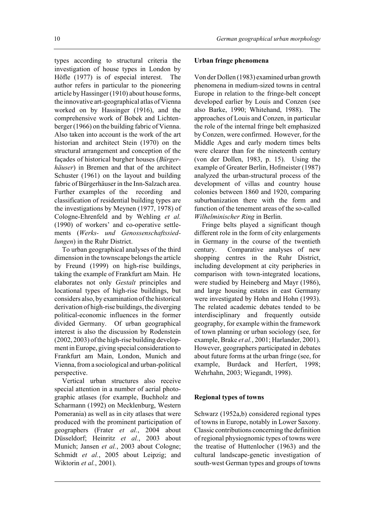types according to structural criteria the investigation of house types in London by Höfle (1977) is of especial interest. The author refers in particular to the pioneering article by Hassinger (1910) about house forms, the innovative art-geographical atlas of Vienna worked on by Hassinger (1916), and the comprehensive work of Bobek and Lichtenberger (1966) on the building fabric of Vienna. Also taken into account is the work of the art historian and architect Stein (1970) on the structural arrangement and conception of the façades of historical burgher houses (*Bürgerhäuser*) in Bremen and that of the architect Schuster (1961) on the layout and building fabric of Bürgerhäuser in the Inn-Salzach area. Further examples of the recording and classification of residential building types are the investigations by Meynen (1977, 1978) of Cologne-Ehrenfeld and by Wehling *et al.* (1990) of workers' and co-operative settlements (*Werks- und Genossenschaftssiedlungen*) in the Ruhr District.

To urban geographical analyses of the third dimension in the townscape belongs the article by Freund (1999) on high-rise buildings, taking the example of Frankfurt am Main. He elaborates not only *Gestalt* principles and locational types of high-rise buildings, but considers also, by examination of the historical derivation of high-rise buildings, the diverging political-economic influences in the former divided Germany. Of urban geographical interest is also the discussion by Rodenstein (2002, 2003) of the high-rise building development in Europe, giving special consideration to Frankfurt am Main, London, Munich and Vienna, from a sociological and urban-political perspective.

Vertical urban structures also receive special attention in a number of aerial photographic atlases (for example, Buchholz and Scharmann (1992) on Mecklenburg, Western Pomerania) as well as in city atlases that were produced with the prominent participation of geographers (Frater *et al.*, 2004 about Düsseldorf; Heinritz *et al.*, 2003 about Munich; Jansen *et al.*, 2003 about Cologne; Schmidt *et al.*, 2005 about Leipzig; and Wiktorin *et al.*, 2001).

#### **Urban fringe phenomena**

Von der Dollen (1983) examined urban growth phenomena in medium-sized towns in central Europe in relation to the fringe-belt concept developed earlier by Louis and Conzen (see also Barke, 1990; Whitehand, 1988). The approaches of Louis and Conzen, in particular the role of the internal fringe belt emphasized by Conzen, were confirmed. However, for the Middle Ages and early modern times belts were clearer than for the nineteenth century (von der Dollen, 1983, p. 15). Using the example of Greater Berlin, Hofmeister (1987) analyzed the urban-structural process of the development of villas and country house colonies between 1860 and 1920, comparing suburbanization there with the form and function of the tenement areas of the so-called *Wilhelminischer Ring* in Berlin.

Fringe belts played a significant though different role in the form of city enlargements in Germany in the course of the twentieth century. Comparative analyses of new shopping centres in the Ruhr District, including development at city peripheries in comparison with town-integrated locations, were studied by Heineberg and Mayr (1986), and large housing estates in east Germany were investigated by Hohn and Hohn (1993). The related academic debates tended to be interdisciplinary and frequently outside geography, for example within the framework of town planning or urban sociology (see, for example, Brake *et al.*, 2001; Harlander, 2001). However, geographers participated in debates about future forms at the urban fringe (see, for example, Burdack and Herfert, 1998; Wehrhahn, 2003; Wiegandt, 1998).

#### **Regional types of towns**

Schwarz (1952a,b) considered regional types of towns in Europe, notably in Lower Saxony. Classic contributions concerning the definition of regional physiognomic types of towns were the treatise of Huttenlocher (1963) and the cultural landscape-genetic investigation of south-west German types and groups of towns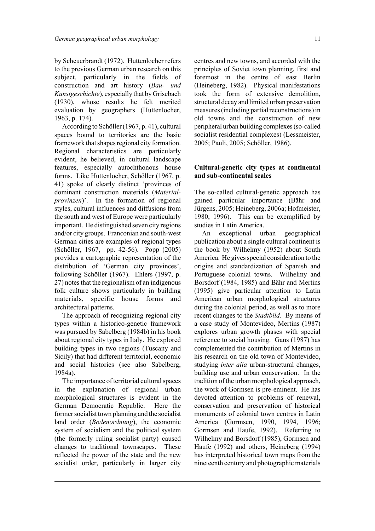by Scheuerbrandt (1972). Huttenlocher refers to the previous German urban research on this subject, particularly in the fields of construction and art history (*Bau- und Kunstgeschichte*), especially that by Grisebach (1930), whose results he felt merited evaluation by geographers (Huttenlocher, 1963, p. 174).

According to Schöller (1967, p. 41), cultural spaces bound to territories are the basic framework that shapes regional city formation. Regional characteristics are particularly evident, he believed, in cultural landscape features, especially autochthonous house forms. Like Huttenlocher, Schöller (1967, p. 41) spoke of clearly distinct 'provinces of dominant construction materials (*Materialprovinzen*)'. In the formation of regional styles, cultural influences and diffusions from the south and west of Europe were particularly important. He distinguished seven city regions and/or city groups. Franconian and south-west German cities are examples of regional types (Schöller, 1967, pp. 42-56). Popp (2005) provides a cartographic representation of the distribution of 'German city provinces', following Schöller (1967). Ehlers (1997, p. 27) notes that the regionalism of an indigenous folk culture shows particularly in building materials, specific house forms and architectural patterns.

The approach of recognizing regional city types within a historico-genetic framework was pursued by Sabelberg (1984b) in his book about regional city types in Italy. He explored building types in two regions (Tuscany and Sicily) that had different territorial, economic and social histories (see also Sabelberg, 1984a).

The importance of territorial cultural spaces in the explanation of regional urban morphological structures is evident in the German Democratic Republic. Here the former socialist town planning and the socialist land order (*Bodenordnung*), the economic system of socialism and the political system (the formerly ruling socialist party) caused changes to traditional townscapes. These reflected the power of the state and the new socialist order, particularly in larger city

centres and new towns, and accorded with the principles of Soviet town planning, first and foremost in the centre of east Berlin (Heineberg, 1982). Physical manifestations took the form of extensive demolition, structural decay and limited urban preservation measures (including partial reconstructions) in old towns and the construction of new peripheral urban building complexes (so-called socialist residential complexes) (Lessmeister, 2005; Pauli, 2005; Schöller, 1986).

# **Cultural-genetic city types at continental and sub-continental scales**

The so-called cultural-genetic approach has gained particular importance (Bähr and Jürgens, 2005; Heineberg, 2006a; Hofmeister, 1980, 1996). This can be exemplified by studies in Latin America.

An exceptional urban geographical publication about a single cultural continent is the book by Wilhelmy (1952) about South America. He gives special consideration to the origins and standardization of Spanish and Portuguese colonial towns. Wilhelmy and Borsdorf (1984, 1985) and Bähr and Mertins (1995) give particular attention to Latin American urban morphological structures during the colonial period, as well as to more recent changes to the *Stadtbild*. By means of a case study of Montevideo, Mertins (1987) explores urban growth phases with special reference to social housing. Gans (1987) has complemented the contribution of Mertins in his research on the old town of Montevideo, studying *inter alia* urban-structural changes, building use and urban conservation. In the tradition of the urban morphological approach, the work of Gormsen is pre-eminent. He has devoted attention to problems of renewal, conservation and preservation of historical monuments of colonial town centres in Latin America (Gormsen, 1990, 1994, 1996; Gormsen and Haufe, 1992). Referring to Wilhelmy and Borsdorf (1985), Gormsen and Haufe (1992) and others, Heineberg (1994) has interpreted historical town maps from the nineteenth century and photographic materials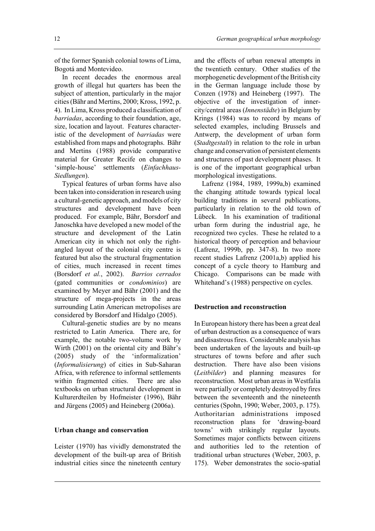of the former Spanish colonial towns of Lima, Bogotá and Montevideo.

In recent decades the enormous areal growth of illegal hut quarters has been the subject of attention, particularly in the major cities (Bähr and Mertins, 2000; Kross, 1992, p. 4). In Lima, Kross produced a classification of *barriadas*, according to their foundation, age, size, location and layout. Features characteristic of the development of *barriadas* were established from maps and photographs. Bähr and Mertins (1988) provide comparative material for Greater Recife on changes to 'simple-house' settlements (*Einfachhaus-Siedlungen*).

Typical features of urban forms have also been taken into consideration in research using a cultural-genetic approach, and models of city structures and development have been produced. For example, Bähr, Borsdorf and Janoschka have developed a new model of the structure and development of the Latin American city in which not only the rightangled layout of the colonial city centre is featured but also the structural fragmentation of cities, much increased in recent times (Borsdorf *et al.*, 2002). *Barrios cerrados* (gated communities or *condominios*) are examined by Meyer and Bähr (2001) and the structure of mega-projects in the areas surrounding Latin American metropolises are considered by Borsdorf and Hidalgo (2005).

Cultural-genetic studies are by no means restricted to Latin America. There are, for example, the notable two-volume work by Wirth (2001) on the oriental city and Bähr's (2005) study of the 'informalization' (*Informalisierung*) of cities in Sub-Saharan Africa, with reference to informal settlements within fragmented cities. There are also textbooks on urban structural development in Kulturerdteilen by Hofmeister (1996), Bähr and Jürgens (2005) and Heineberg (2006a).

# **Urban change and conservation**

Leister (1970) has vividly demonstrated the development of the built-up area of British industrial cities since the nineteenth century and the effects of urban renewal attempts in the twentieth century. Other studies of the morphogenetic development of the British city in the German language include those by Conzen (1978) and Heineberg (1997). The objective of the investigation of innercity/central areas (*Innenstädte*) in Belgium by Krings (1984) was to record by means of selected examples, including Brussels and Antwerp, the development of urban form (*Stadtgestalt*) in relation to the role in urban change and conservation of persistent elements and structures of past development phases. It is one of the important geographical urban morphological investigations.

Lafrenz (1984, 1989, 1999a,b) examined the changing attitude towards typical local building traditions in several publications, particularly in relation to the old town of Lübeck. In his examination of traditional urban form during the industrial age, he recognized two cycles. These he related to a historical theory of perception and behaviour (Lafrenz, 1999b, pp. 347-8). In two more recent studies Lafrenz (2001a,b) applied his concept of a cycle theory to Hamburg and Chicago. Comparisons can be made with Whitehand's (1988) perspective on cycles.

## **Destruction and reconstruction**

In European history there has been a great deal of urban destruction as a consequence of wars and disastrous fires. Considerable analysis has been undertaken of the layouts and built-up structures of towns before and after such destruction. There have also been visions (*Leitbilder*) and planning measures for reconstruction. Most urban areas in Westfalia were partially or completely destroyed by fires between the seventeenth and the nineteenth centuries (Spohn, 1990; Weber, 2003, p. 175). Authoritarian administrations imposed reconstruction plans for 'drawing-board towns' with strikingly regular layouts. Sometimes major conflicts between citizens and authorities led to the retention of traditional urban structures (Weber, 2003, p. 175). Weber demonstrates the socio-spatial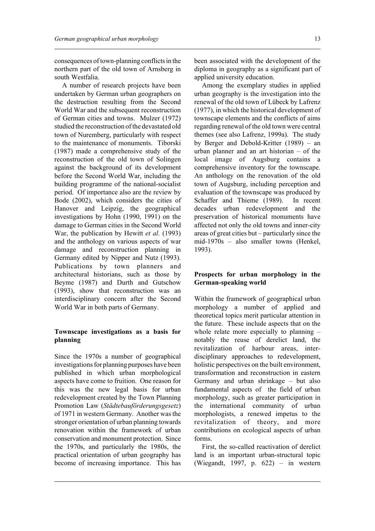consequences of town-planning conflicts in the northern part of the old town of Arnsberg in south Westfalia.

A number of research projects have been undertaken by German urban geographers on the destruction resulting from the Second World War and the subsequent reconstruction of German cities and towns. Mulzer (1972) studied the reconstruction of the devastated old town of Nuremberg, particularly with respect to the maintenance of monuments. Tiborski (1987) made a comprehensive study of the reconstruction of the old town of Solingen against the background of its development before the Second World War, including the building programme of the national-socialist period. Of importance also are the review by Bode (2002), which considers the cities of Hanover and Leipzig, the geographical investigations by Hohn (1990, 1991) on the damage to German cities in the Second World War, the publication by Hewitt *et al.* (1993) and the anthology on various aspects of war damage and reconstruction planning in Germany edited by Nipper and Nutz (1993). Publications by town planners and architectural historians, such as those by Beyme (1987) and Durth and Gutschow (1993), show that reconstruction was an interdisciplinary concern after the Second World War in both parts of Germany.

# **Townscape investigations as a basis for planning**

Since the 1970s a number of geographical investigations for planning purposes have been published in which urban morphological aspects have come to fruition. One reason for this was the new legal basis for urban redevelopment created by the Town Planning Promotion Law (*Städtebauförderungsgesetz*) of 1971 in western Germany. Another was the stronger orientation of urban planning towards renovation within the framework of urban conservation and monument protection. Since the 1970s, and particularly the 1980s, the practical orientation of urban geography has become of increasing importance. This has

been associated with the development of the diploma in geography as a significant part of applied university education.

Among the exemplary studies in applied urban geography is the investigation into the renewal of the old town of Lübeck by Lafrenz (1977), in which the historical development of townscape elements and the conflicts of aims regarding renewal of the old town were central themes (see also Lafrenz, 1999a). The study by Berger and Debold-Kritter (1989) – an urban planner and an art historian – of the local image of Augsburg contains a comprehensive inventory for the townscape. An anthology on the renovation of the old town of Augsburg, including perception and evaluation of the townscape was produced by Schaffer and Thieme (1989). In recent decades urban redevelopment and the preservation of historical monuments have affected not only the old towns and inner-city areas of great cities but – particularly since the mid-1970s – also smaller towns (Henkel, 1993).

## **Prospects for urban morphology in the German-speaking world**

Within the framework of geographical urban morphology a number of applied and theoretical topics merit particular attention in the future. These include aspects that on the whole relate more especially to planning – notably the reuse of derelict land, the revitalization of harbour areas, interdisciplinary approaches to redevelopment, holistic perspectives on the built environment, transformation and reconstruction in eastern Germany and urban shrinkage – but also fundamental aspects of the field of urban morphology, such as greater participation in the international community of urban morphologists, a renewed impetus to the revitalization of theory, and more contributions on ecological aspects of urban forms.

First, the so-called reactivation of derelict land is an important urban-structural topic (Wiegandt, 1997, p. 622) – in western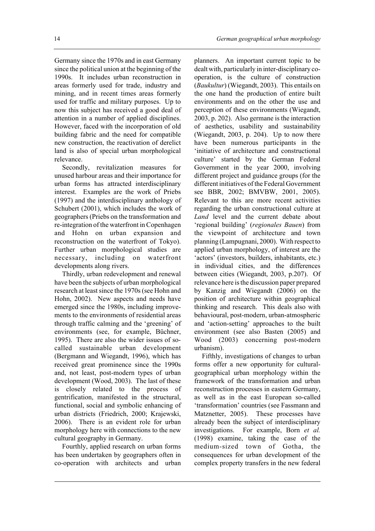Germany since the 1970s and in east Germany since the political union at the beginning of the 1990s. It includes urban reconstruction in areas formerly used for trade, industry and mining, and in recent times areas formerly used for traffic and military purposes. Up to now this subject has received a good deal of attention in a number of applied disciplines. However, faced with the incorporation of old building fabric and the need for compatible new construction, the reactivation of derelict land is also of special urban morphological relevance.

Secondly, revitalization measures for unused harbour areas and their importance for urban forms has attracted interdisciplinary interest. Examples are the work of Priebs (1997) and the interdisciplinary anthology of Schubert (2001), which includes the work of geographers (Priebs on the transformation and re-integration of the waterfront in Copenhagen and Hohn on urban expansion and reconstruction on the waterfront of Tokyo). Further urban morphological studies are necessary, including on waterfront developments along rivers.

Thirdly, urban redevelopment and renewal have been the subjects of urban morphological research at least since the 1970s (see Hohn and Hohn, 2002). New aspects and needs have emerged since the 1980s, including improvements to the environments of residential areas through traffic calming and the 'greening' of environments (see, for example, Büchner, 1995). There are also the wider issues of socalled sustainable urban development (Bergmann and Wiegandt, 1996), which has received great prominence since the 1990s and, not least, post-modern types of urban development (Wood, 2003). The last of these is closely related to the process of gentrification, manifested in the structural, functional, social and symbolic enhancing of urban districts (Friedrich, 2000; Krajewski, 2006). There is an evident role for urban morphology here with connections to the new cultural geography in Germany.

Fourthly, applied research on urban forms has been undertaken by geographers often in co-operation with architects and urban planners. An important current topic to be dealt with, particularly in inter-disciplinary cooperation, is the culture of construction (*Baukultur*) (Wiegandt, 2003). This entails on the one hand the production of entire built environments and on the other the use and perception of these environments (Wiegandt, 2003, p. 202). Also germane is the interaction of aesthetics, usability and sustainability (Wiegandt, 2003, p. 204). Up to now there have been numerous participants in the 'initiative of architecture and constructional culture' started by the German Federal Government in the year 2000, involving different project and guidance groups (for the different initiatives of the Federal Government see BBR, 2002; BMVBW, 2001, 2005). Relevant to this are more recent activities regarding the urban constructional culture at *Land* level and the current debate about 'regional building' (*regionales Bauen*) from the viewpoint of architecture and town planning (Lampugnani, 2000). With respect to applied urban morphology, of interest are the 'actors' (investors, builders, inhabitants, etc.) in individual cities, and the differences between cities (Wiegandt, 2003, p.207). Of relevance here is the discussion paper prepared by Kanzig and Wiegandt (2006) on the position of architecture within geographical thinking and research. This deals also with behavioural, post-modern, urban-atmospheric and 'action-setting' approaches to the built environment (see also Basten (2005) and Wood (2003) concerning post-modern urbanism).

Fifthly, investigations of changes to urban forms offer a new opportunity for culturalgeographical urban morphology within the framework of the transformation and urban reconstruction processes in eastern Germany, as well as in the east European so-called 'transformation' countries (see Fassmann and Matznetter, 2005). These processes have already been the subject of interdisciplinary investigations. For example, Born *et al.* (1998) examine, taking the case of the medium-sized town of Gotha, the consequences for urban development of the complex property transfers in the new federal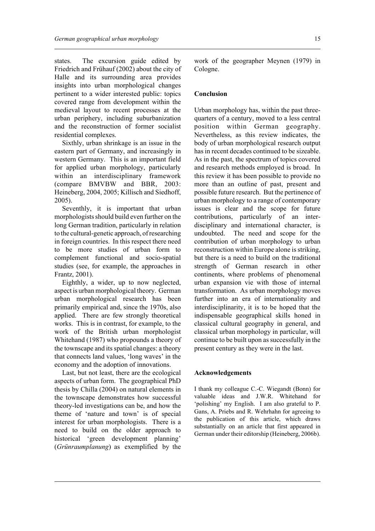states. The excursion guide edited by Friedrich and Frühauf (2002) about the city of Halle and its surrounding area provides insights into urban morphological changes pertinent to a wider interested public: topics covered range from development within the medieval layout to recent processes at the urban periphery, including suburbanization and the reconstruction of former socialist residential complexes.

Sixthly, urban shrinkage is an issue in the eastern part of Germany, and increasingly in western Germany. This is an important field for applied urban morphology, particularly within an interdisciplinary framework (compare BMVBW and BBR, 2003: Heineberg, 2004, 2005; Killisch and Siedhoff, 2005).

Seventhly, it is important that urban morphologists should build even further on the long German tradition, particularly in relation to the cultural-genetic approach, of researching in foreign countries. In this respect there need to be more studies of urban form to complement functional and socio-spatial studies (see, for example, the approaches in Frantz, 2001).

Eighthly, a wider, up to now neglected, aspect is urban morphological theory. German urban morphological research has been primarily empirical and, since the 1970s, also applied. There are few strongly theoretical works. This is in contrast, for example, to the work of the British urban morphologist Whitehand (1987) who propounds a theory of the townscape and its spatial changes: a theory that connects land values, 'long waves' in the economy and the adoption of innovations.

Last, but not least, there are the ecological aspects of urban form. The geographical PhD thesis by Chilla (2004) on natural elements in the townscape demonstrates how successful theory-led investigations can be, and how the theme of 'nature and town' is of special interest for urban morphologists. There is a need to build on the older approach to historical 'green development planning' (*Grünraumplanung*) as exemplified by the

work of the geographer Meynen (1979) in Cologne.

#### **Conclusion**

Urban morphology has, within the past threequarters of a century, moved to a less central position within German geography. Nevertheless, as this review indicates, the body of urban morphological research output has in recent decades continued to be sizeable. As in the past, the spectrum of topics covered and research methods employed is broad. In this review it has been possible to provide no more than an outline of past, present and possible future research. But the pertinence of urban morphology to a range of contemporary issues is clear and the scope for future contributions, particularly of an interdisciplinary and international character, is undoubted. The need and scope for the contribution of urban morphology to urban reconstruction within Europe alone is striking, but there is a need to build on the traditional strength of German research in other continents, where problems of phenomenal urban expansion vie with those of internal transformation. As urban morphology moves further into an era of internationality and interdisciplinarity, it is to be hoped that the indispensable geographical skills honed in classical cultural geography in general, and classical urban morphology in particular, will continue to be built upon as successfully in the present century as they were in the last.

#### **Acknowledgements**

I thank my colleague C.-C. Wiegandt (Bonn) for valuable ideas and J.W.R. Whitehand for 'polishing' my English. I am also grateful to P. Gans, A. Priebs and R. Wehrhahn for agreeing to the publication of this article, which draws substantially on an article that first appeared in German under their editorship (Heineberg, 2006b).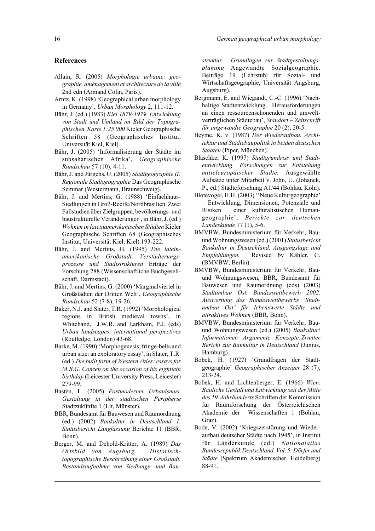#### **References**

- Allain, R. (2005) *Morphologie urbaine: geographie, aménagement et architecture de la ville* 2nd edn (Armand Colin, Paris).
- Arntz, K. (1998) 'Geographical urban morphology in Germany', *Urban Morphology* 2, 111-12.
- Bähr, J. (ed.) (1983) *Kiel 1879-1979. Entwicklung von Stadt und Umland im Bild der Topographischen Karte 1:25 000* Kieler Geographische Schriften 58 (Geographisches Institut, Universität Kiel, Kiel).
- Bähr, J. (2005) 'Informalisierung der Städte im subsaharischen Afrika', *Geographische Rundschau* 57 (10), 4-11.
- Bähr, J. and Jürgens, U. (2005) *Stadtgeographie II: Regionale Stadtgeographie* Das Geographische Seminar (Westermann, Braunschweig).
- Bähr, J. and Mertins, G. (1988) 'Einfachhaus-Siedlungen in Groß-Recife/Nordbrasilien. Zwei Fallstudien über Zielgruppen, bevölkerungs- und baustrukturelle Veränderunger', in Bähr, J. (ed.) *Wohnen in lateinamerikanischen Städten* Kieler Geographische Schriften 68 (Geographisches Institut, Universität Kiel, Kiel) 193-222.
- Bähr, J. and Mertins, G. (1995) *Die lateinamerikanische Großstadt. Verstädterungsprozesse und Stadtstrukturen* Erträge der Forschung 288 (Wissenschaftliche Buchgesellschaft, Darmstadt).
- Bähr, J. and Mertins, G. (2000) 'Marginalviertel in Großstädten der Dritten Welt', *Geographische Rundschau* 52 (7-8), 19-26.
- Baker, N.J. and Slater, T.R. (1992) 'Morphological regions in British medieval towns', in Whitehand, J.W.R. and Larkham, P.J. (eds) *Urban landscapes: international perspectives* (Routledge, London) 43-68.
- Barke, M. (1990) 'Morphogenesis, fringe-belts and urban size: an exploratory essay', in Slater, T.R. (ed.) *The built form of Western cities: essays for M.R.G. Conzen on the occasion of his eightieth birthday* (Leicester University Press, Leicester) 279-99.
- Basten, L. (2005) *Postmoderner Urbanismus. Gestaltung in der städtischen Peripherie* Stadtzukünfte 1 (Lit, Münster).
- BBR, Bundesamt für Bauwesen und Raumordnung (ed.) (2002) *Baukultur in Deutschland 1. Statusbericht Langfassung* Berichte 11 (BBR, Bonn).
- Berger, M. and Debold-Kritter, A. (1989) *Das Ortsbild von Augsburg. Historischtopographische Beschreibung einer Großstadt. Bestandsaufnahme von Siedlungs- und Bau-*

*struktur. Grundlagen zur Stadtgestaltungsplanung* Angewandte Sozialgeographie. Beiträge 19 (Lehrstuhl für Sozial- und Wirtschaftsgeographie, Universität Augsburg, Augsburg).

- Bergmann, E. and Wiegandt, C.-C. (1996) 'Nachhaltige Stadtentwicklung. Herausforderungen an einen ressourcenschonenden und umweltverträglichen Städtebau', *Standort – Zeitschrift für angewandte Geographie* 20 (2), 20-5.
- Beyme, K. v. (1987) *Der Wiederaufbau. Architektur und Städtebaupolitik in beiden deutschen Staaten* (Piper, München).
- Blaschke, K. (1997) *Stadtgrundriss und Stadtentwicklung. Forschungen zur Entstehung mitteleuropäischer Städte.* Ausgewählte Aufsätze unter Mitarbeit v. John, U. (Johanek, P., ed.) Städteforschung A1/44 (Böhlau, Köln).
- Blotevogel, H.H. (2003) ''Neue Kulturgeographie' – Entwicklung, Dimensionen, Potenziale und Risiken einer kulturalistischen Humangeographie', *Berichte zur deutschen Landeskunde* 77 (1), 5-6.
- BMVBW, Bundesministerium für Verkehr, Bauund Wohnungswesen (ed.) (2001) *Statusbericht Baukultur in Deutschland. Ausgangslage und Empfehlungen.* Revised by Kähler, G. (BMVBW, Berlin).
- BMVBW, Bundesministerium für Verkehr, Bauund Wohnungswesen, BBR, Bundesamt für Bauwesen und Raumordnung (eds) (2003) *Stadtumbau Ost, Bundeswettbewerb 2002. Auswertung des Bundeswettbewerbs 'Stadtumbau Ost' für lebenswerte Städte und attraktives Wohnen* (BBR, Bonn).
- BMVBW, Bundesministerium für Verkehr, Bauund Wohnungswesen (ed.) (2005) *Baukultur! Informationen – Argumente – Konzepte. Zweiter Bericht zur Baukultur in Deutschland* (Junius, Hamburg).
- Bobek, H. (1927) 'Grundfragen der Stadtgeographie' *Geographischer Anzeiger* 28 (7), 213-24.
- Bobek, H. and Lichtenberger, E. (1966) *Wien. Bauliche Gestalt und Entwicklung seit der Mitte des 19. Jahrhunderts* Schriften der Kommission für Raumforschung der Österreichischen Akademie der Wissenschaften 1 (Böhlau, Graz).
- Bode, V. (2002) 'Kriegszerstörung und Wiederaufbau deutscher Städte nach 1945', in Institut für Länderkunde (ed.) *Nationalatlas Bundesrepublik Deutschland. Vol. 5: Dörfer und Städte* (Spektrum Akademischer, Heidelberg) 88-91.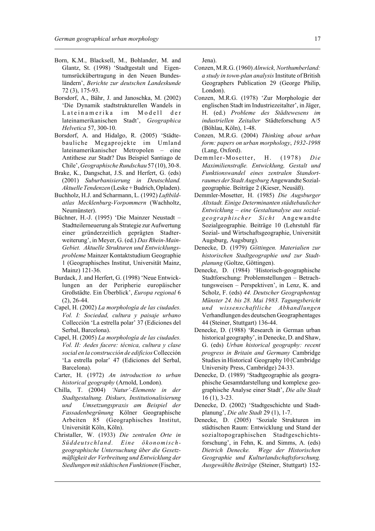- Born, K.M., Blacksell, M., Bohlander, M. and Glantz, St. (1998) 'Stadtgestalt und Eigentumsrückübertragung in den Neuen Bundesländern', *Berichte zur deutschen Landeskunde* 72 (3), 175-93.
- Borsdorf, A., Bähr, J. and Janoschka, M. (2002) 'Die Dynamik stadtstrukturellen Wandels in Lateinamerika im Modell der lateinamerikanischen Stadt', *Geographica Helvetica* 57, 300-10.
- Borsdorf, A. and Hidalgo, R. (2005) 'Städtebauliche Megaprojekte im Umland lateinamerikanischer Metropolen – eine Antithese zur Stadt? Das Beispiel Santiago de Chile', *Geographische Rundschau* 57 (10), 30-8.
- Brake, K., Dangschat, J.S. and Herfert, G. (eds) (2001) *Suburbanisierung in Deutschland. Aktuelle Tendenzen* (Leske + Budrich, Opladen).
- Buchholz, H.J. and Scharmann, L. (1992) *Luftbildatlas Mecklenburg-Vorpommern* (Wachholtz, Neumünster).
- Büchner, H.-J. (1995) 'Die Mainzer Neustadt Stadtteilerneuerung als Strategie zur Aufwertung einer gründerzeitlich geprägten Stadterweiterung', in Meyer, G. (ed.) *Das Rhein-Main-Gebiet. Aktuelle Strukturen und Entwicklungsprobleme* Mainzer Kontaktstudium Geographie 1 (Geographisches Institut, Universität Mainz, Mainz) 121-36.
- Burdack, J. and Herfert, G. (1998) 'Neue Entwicklungen an der Peripherie europäischer Großstädte. Ein Überblick', *Europa regional* 6 (2), 26-44.
- Capel, H. (2002) *La morphología de las ciudades. Vol. I: Sociedad, cultura y paisaje urbano* Collección 'La estrella polar' 37 (Ediciones del Serbal, Barcelona).
- Capel, H. (2005) *La morphología de las ciudades. Vol. II: Aedes facere: técnica, cultura y clase social en la construcción de edificios* Collección 'La estrella polar' 47 (Ediciones del Serbal, Barcelona).
- Carter, H. (1972) *An introduction to urban historical geography* (Arnold, London).
- Chilla, T. (2004) *'Natur'-Elemente in der Stadtgestaltung. Diskurs, Institutionalisierung und Umsetzungspraxis am Beispiel der Fassadenbegrünung* Kölner Geographische Arbeiten 85 (Geographisches Institut, Universität Köln, Köln).
- Christaller, W. (1933) *Die zentralen Orte in Süddeutschland. Eine ökonomischgeographische Untersuchung über die Gesetzmäßigkeit der Verbreitung und Entwicklung der Siedlungen mit städtischen Funktionen* (Fischer,

Jena).

- Conzen, M.R.G. (1960) *Alnwick, Northumberland: a study in town-plan analysis* Institute of British Geographers Publication 29 (George Philip, London).
- Conzen, M.R.G. (1978) 'Zur Morphologie der englischen Stadt im Industriezeitalter', in Jäger, H. (ed.) *Probleme des Städtewesens im industriellen Zeitalter* Städteforschung A/5 (Böhlau, Köln), 1-48.
- Conzen, M.R.G. (2004) *Thinking about urban form: papers on urban morphology*, *1932-1998* (Lang, Oxford).
- Demmler-Mosetter, H. (1978) *Die Maximilienstraße. Entwicklung, Gestalt und Funktionswandel eines zentralen Standortraumes der Stadt Augsburg* Angewandte Sozialgeographie. Beiträge 2 (Kieser, Neusäß).
- Demmler-Mosetter, H. (1985) *Die Augsburger Altstadt. Einige Determinanten städtebaulicher Entwicklung – eine Gestaltanalyse aus sozialgeographischer Sicht* Angewandte Sozialgeographie. Beiträge 10 (Lehrstuhl für Sozial- und Wirtschaftsgeographie, Universität Augsburg, Augsburg).
- Denecke, D. (1979) *Göttingen. Materialien zur historischen Stadtgeographie und zur Stadtplanung* (Goltze, Göttingen).
- Denecke, D. (1984) 'Historisch-geographische Stadtforschung: Problemstellungen – Betrachtungsweisen – Perspektiven', in Lenz, K. and Scholz, F. (eds) *44. Deutscher Geographentag Münster 24. bis 28. Mai 1983. Tagungsbericht und wissenschaftliche Abhandlungen* Verhandlungen des deutschen Geographentages 44 (Steiner, Stuttgart) 136-44.
- Denecke, D. (1988) 'Research in German urban historical geography', in Denecke, D. and Shaw, G. (eds) *Urban historical geography: recent progress in Britain and Germany* Cambridge Studies in Historical Geography 10 (Cambridge University Press, Cambridge) 24-33.
- Denecke, D. (1989) 'Stadtgeographie als geographische Gesamtdarstellung und komplexe geographische Analyse einer Stadt', *Die alte Stadt* 16 (1), 3-23.
- Denecke, D. (2002) 'Stadtgeschichte und Stadtplanung', *Die alte Stadt* 29 (1), 1-7.
- Denecke, D. (2005) 'Soziale Strukturen im städtischen Raum: Entwicklung und Stand der sozialtopographischen Stadtgeschichtsforschung', in Fehn, K. and Simms, A. (eds) *Dietrich Denecke. Wege der Historischen Geographie und Kulturlandschaftsforschung. Ausgewählte Beiträge* (Steiner, Stuttgart) 152-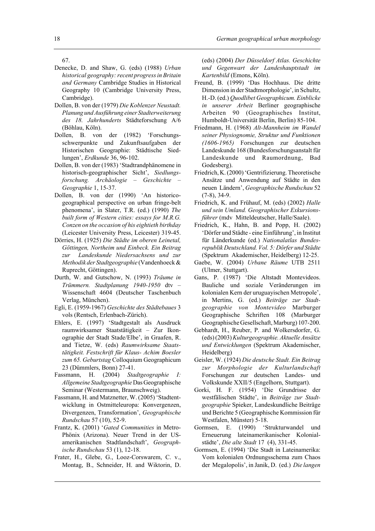- Denecke, D. and Shaw, G. (eds) (1988) *Urban historical geography: recent progress in Britain and Germany* Cambridge Studies in Historical Geography 10 (Cambridge University Press, Cambridge).
- Dollen, B. von der (1979) *Die Koblenzer Neustadt. Planung und Ausführung einer Stadterweiterung des 18. Jahrhunderts* Städteforschung A/6 (Böhlau, Köln).
- Dollen, B. von der (1982) 'Forschungsschwerpunkte und Zukunftsaufgaben der Historischen Geographie: Städtische Siedlungen', *Erdkunde* 36, 96-102.
- Dollen, B. von der (1983) 'Stadtrandphänomene in historisch-geographischer Sicht', *Siedlungsforschung. Archäologie – Geschichte – Geographie* 1, 15-37.
- Dollen, B. von der (1990) 'An historicogeographical perspective on urban fringe-belt phenomena', in Slater, T.R. (ed.) (1990) *The built form of Western cities: essays for M.R.G. Conzen on the occasion of his eightieth birthday* (Leicester University Press, Leicester) 319-45.
- Dörries, H. (1925) *Die Städte im oberen Leinetal, Göttingen, Northeim und Einbeck. Ein Beitrag zur Landeskunde Niedersachsens und zur Methodik der Stadtgeographie* (Vandenhoeck & Ruprecht, Göttingen).
- Durth, W. and Gutschow, N. (1993) *Träume in Trümmern. Stadtplanung 1940-1950* dtv – Wissenschaft 4604 (Deutscher Taschenbuch Verlag, München).
- Egli, E. (1959-1967) *Geschichte des Städtebaues* 3 vols (Rentsch, Erlenbach-Zürich).
- Ehlers, E. (1997) 'Stadtgestalt als Ausdruck raumwirksamer Staatstätigkeit – Zur Ikonographie der Stadt Stade/Elbe', in Graafen, R. and Tietze, W. (eds) *Raumwirksame Staatstätigkeit. Festschrift für Klaus- Achim Boesler zum 65. Geburtstag* Colloquium Geographicum 23 (Dümmlers, Bonn) 27-41.
- Fassmann, H. (2004) *Stadtgeographie I: Allgemeine Stadtgeographie* Das Geographische Seminar (Westermann, Braunschweig).
- Fassmann, H. and Matznetter, W. (2005) 'Stadtentwicklung in Ostmitteleuropa: Konvergenzen, Divergenzen, Transformation', *Geographische Rundschau* 57 (10), 52-9.
- Frantz, K. (2001) '*Gated Communities* in Metro-Phönix (Arizona). Neuer Trend in der USamerikanischen Stadtlandschaft', *Geographische Rundschau* 53 (1), 12-18.
- Frater, H., Glebe, G., Looz-Corswarem, C. v., Montag, B., Schneider, H. and Wiktorin, D.

(eds) (2004) *Der Düsseldorf Atlas. Geschichte und Gegenwart der Landeshauptstadt im Kartenbild* (Emons, Köln).

- Freund, B. (1999) 'Das Hochhaus. Die dritte Dimension in der Stadtmorphologie', in Schultz, H.-D. (ed.) *Quodlibet Geographicum. Einblicke in unserer Arbeit* Berliner geographische Arbeiten 90 (Geographisches Institut, Humboldt-Universität Berlin, Berlin) 85-104.
- Friedmann, H. (1968) *Alt-Mannheim im Wandel seiner Physiognomie, Struktur und Funktionen (1606-1965)* Forschungen zur deutschen Landeskunde 168 (Bundesforschungsanstalt für Landeskunde und Raumordnung, Bad Godesberg).
- Friedrich, K. (2000) 'Gentrifizierung. Theoretische Ansätze und Anwendung auf Städte in den neuen Ländern', *Geographische Rundschau* 52 (7-8), 34-9.
- Friedrich, K. and Frühauf, M. (eds) (2002) *Halle und sein Umland. Geographischer Exkursionsführer* (mdv Mitteldeutscher, Halle/Saale).
- Friedrich, K., Hahn, B. and Popp, H. (2002) 'Dörfer und Städte - eine Einführung', in Institut für Länderkunde (ed.) *Nationalatlas Bundesrepublik Deutschland. Vol. 5: Dörfer und Städte* (Spektrum Akademischer, Heidelberg) 12-25.
- Gaebe, W. (2004) *Urbane Räume* UTB 2511 (Ulmer, Stuttgart).
- Gans, P. (1987) 'Die Altstadt Montevideos. Bauliche und soziale Veränderungen im kolonialen Kern der uruguayischen Metropole', in Mertins, G. (ed.) *Beiträge zur Stadtgeographie von Montevideo* Marburger Geographische Schriften 108 (Marburger Geographische Gesellschaft, Marburg) 107-200.
- Gebhardt, H., Reuber, P. and Wolkersdorfer, G. (eds) (2003) *Kulturgeographie. Aktuelle Ansätze und Entwicklungen* (Spektrum Akademischer, Heidelberg)
- Geisler, W. (1924) *Die deutsche Stadt. Ein Beitrag zur Morphologie der Kulturlandschaft* Forschungen zur deutschen Landes- und Volkskunde XXII/5 (Engelhorn, Stuttgart).
- Gorki, H. F. (1954) 'Die Grundrisse der westfälischen Städte', in *Beiträge zur Stadtgeographie* Spieker, Landeskundliche Beiträge und Berichte 5 (Geographische Kommission für Westfalen, Münster) 5-18.
- Gormsen, E. (1990) 'Strukturwandel und Erneuerung lateinamerikanischer Kolonialstädte', *Die alte Stadt* 17 (4), 331-45.
- Gormsen, E. (1994) 'Die Stadt in Lateinamerika: Vom kolonialen Ordnungsschema zum Chaos der Megalopolis', in Janik, D. (ed.) *Die langen*

<sup>67.</sup>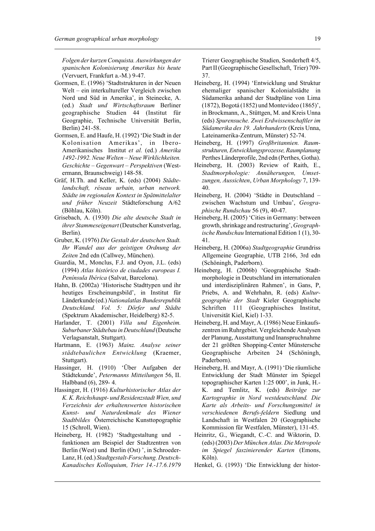*Folgen der kurzen Conquista. Auswirkungen der spanischen Kolonisierung Amerikas bis heute* (Vervuert, Frankfurt a.-M.) 9-47.

- Gormsen, E. (1996) 'Stadtstrukturen in der Neuen Welt – ein interkultureller Vergleich zwischen Nord und Süd in Amerika', in Steinecke, A. (ed.) *Stadt und Wirtschaftsraum* Berliner geographische Studien 44 (Institut für Geographie, Technische Universität Berlin, Berlin) 241-58.
- Gormsen, E. and Haufe, H. (1992) 'Die Stadt in der Kolonisation Amerikas', in Ibero-Amerikanisches Institut *et al.* (ed.) *Amerika 1492-1992. Neue Welten – Neue Wirklichkeiten. Geschichte – Gegenwart – Perspektiven* (Westermann, Braunschweig) 148-58.
- Gräf, H.Th. and Keller, K. (eds) (2004) *Städtelandschaft, réseau urbain, urban network. Städte im regionalen Kontext in Spätmittelalter und früher Neuzeit* Städteforschung A/62 (Böhlau, Köln).
- Grisebach, A. (1930) *Die alte deutsche Stadt in ihrer Stammeseigenart* (Deutscher Kunstverlag, Berlin).
- Gruber, K. (1976) *Die Gestalt der deutschen Stadt. Ihr Wandel aus der geistigen Ordnung der Zeiten* 2nd edn (Callwey, München).
- Guardia, M., Monclus, F.J. and Oyon, J.L. (eds) (1994) *Atlas histórico de ciudades europeas I. Península Ibérica* (Salvat, Barcelona).
- Hahn, B. (2002a) 'Historische Stadttypen und ihr heutiges Erscheinungsbild', in Institut für Länderkunde (ed.) *Nationalatlas Bundesrepublik Deutschland. Vol. 5: Dörfer und Städte* (Spektrum Akademischer, Heidelberg) 82-5.
- Harlander, T. (2001) *Villa und Eigenheim. Suburbaner Städtebau in Deutschland* (Deutsche Verlagsanstalt, Stuttgart).
- Hartmann, E. (1963) *Mainz. Analyse seiner städtebaulichen Entwicklung* (Kraemer, Stuttgart).
- Hassinger, H. (1910) 'Über Aufgaben der Städtekunde', *Petermanns Mitteilungen* 56, II. Halbband (6), 289- 4.
- Hassinger, H. (1916) *Kulturhistorischer Atlas der K. K. Reichshaupt- und Residenzstadt Wien, und Verzeichnis der erhaltenswerten historischen Kunst- und Naturdenkmale des Wiener Stadtbildes* Österreichische Kunsttopographie 15 (Schroll, Wien).
- Heineberg, H. (1982) 'Stadtgestaltung und funktionen am Beispiel der Stadtzentren von Berlin (West) und Berlin (Ost) ', in Schroeder-Lanz, H. (ed.) *Stadtgestalt-Forschung. Deutsch-Kanadisches Kolloquium, Trier 14.-17.6.1979*

Trierer Geographische Studien, Sonderheft 4/5, Part II (Geographische Gesellschaft, Trier) 709- 37.

- Heineberg, H. (1994) 'Entwicklung und Struktur ehemaliger spanischer Kolonialstädte in Südamerika anhand der Stadtpläne von Lima (1872), Bogotá (1852) und Montevideo (1865)', in Brockmann, A., Stüttgen, M. and Kreis Unna (eds) *Spurensuche. Zwei Erdwissenschaftler im Südamerika des 19. Jahrhunderts* (Kreis Unna, Lateinamerika-Zentrum, Münster) 52-74.
- Heineberg, H. (1997) *Großbritannien. Raumstrukturen, Entwicklungsprozesse, Raumplanung* Perthes Länderprofile, 2nd edn (Perthes, Gotha).
- Heineberg, H. (2003) Review of Raith, E., *Stadtmorphologie: Annäherungen, Umsetzungen, Aussichten*, *Urban Morphology* 7, 139- 40.
- Heineberg, H. (2004) 'Städte in Deutschland zwischen Wachstum und Umbau', *Geographische Rundschau* 56 (9), 40-47.
- Heineberg, H. (2005) 'Cities in Germany: between growth, shrinkage and restructuring', *Geographische Rundschau* International Edition 1 (1), 30- 41.
- Heineberg, H. (2006a) *Stadtgeographie* Grundriss Allgemeine Geographie, UTB 2166, 3rd edn (Schöningh, Paderborn).
- Heineberg, H. (2006b) 'Geographische Stadtmorphologie in Deutschland im internationalen und interdisziplinären Rahmen', in Gans, P, Priebs, A. and Wehrhahn, R. (eds) *Kulturgeographie der Stadt* Kieler Geographische Schriften 111 (Geographisches Institut, Universität Kiel, Kiel) 1-33.
- Heineberg, H. and Mayr, A. (1986) Neue Einkaufszentren im Ruhrgebiet. Vergleichende Analysen der Planung, Ausstattung und Inanspruchnahme der 21 größten Shopping-Center Münstersche Geographische Arbeiten 24 (Schöningh, Paderborn).
- Heineberg, H. and Mayr, A. (1991) 'Die räumliche Entwicklung der Stadt Münster im Spiegel topographischer Karten 1:25 000', in Junk, H.- K. and Temlitz, K. (eds) *Beiträge zur Kartographie in Nord westdeutschland. Die Karte als Arbeits- und Forschungsmittel in verschiedenen Berufs-feldern* Siedlung und Landschaft in Westfalen 20 (Geographische Kommission für Westfalen, Münster), 131-45.
- Heinritz, G., Wiegandt, C.-C. and Wiktorin, D. (eds) (2003) *Der München Atlas. Die Metropole im Spiegel faszinierender Karten* (Emons, Köln).
- Henkel, G. (1993) 'Die Entwicklung der histor-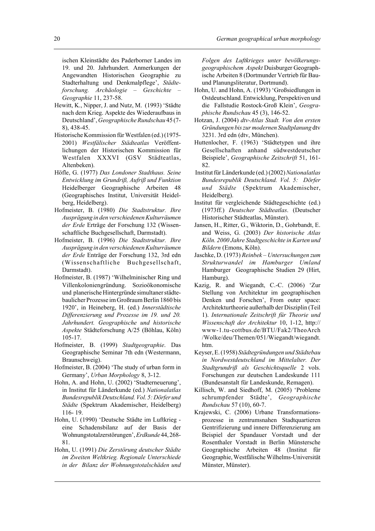ischen Kleinstädte des Paderborner Landes im 19. und 20. Jahrhundert. Anmerkungen der Angewandten Historischen Geographie zu Stadterhaltung und Denkmalpflege', *Städteforschung. Archäologie – Geschichte – Geographie* 11, 237-58.

- Hewitt, K., Nipper, J. and Nutz, M. (1993) 'Städte nach dem Krieg. Aspekte des Wiederaufbaus in Deutschland', *Geographische Rundschau* 45 (7- 8), 438-45.
- Historische Kommission für Westfalen (ed.) (1975- 2001) *Westfälischer Städteatlas* Veröffentlichungen der Historischen Kommission für Westfalen XXXVI (GSV Städteatlas, Altenbeken).
- Höfle, G. (1977) *Das Londoner Stadthaus. Seine Entwicklung im Grundriß, Aufriß und Funktion* Heidelberger Geographische Arbeiten 48 (Geographisches Institut, Universität Heidelberg, Heidelberg).
- Hofmeister, B. (1980) *Die Stadtstruktur. Ihre Ausprägung in den verschiedenen Kulturräumen der Erde* Erträge der Forschung 132 (Wissenschaftliche Buchgesellschaft, Darmstadt).
- Hofmeister, B. (1996) *Die Stadtstruktur. Ihre Ausprägung in den verschiedenen Kulturräumen der Erde* Enträge der Forschung 132, 3rd edn (Wissenschaftliche Buchgesellschaft, Darmstadt).
- Hofmeister, B. (1987) 'Wilhelminischer Ring und Villenkoloniengründung. Sozioökonomische und planerische Hintergründe simultaner städtebaulicher Prozesse im Großraum Berlin 1860 bis 1920', in Heineberg, H. (ed.) *Innerstädtische Differenzierung und Prozesse im 19. und 20. Jahrhundert. Geographische und historische Aspekte* Städteforschung A/25 (Böhlau, Köln) 105-17.
- Hofmeister, B. (1999) *Stadtgeographie*. Das Geographische Seminar 7th edn (Westermann, Braunschweig).
- Hofmeister, B. (2004) 'The study of urban form in Germany', *Urban Morphology* 8, 3-12.
- Hohn, A. and Hohn, U. (2002) 'Stadterneuerung', in Institut für Länderkunde (ed.) *Nationalatlas Bundesrepublik Deutschland. Vol. 5: Dörfer und Städte* (Spektrum Akademischer, Heidelberg) 116- 19.
- Hohn, U. (1990) 'Deutsche Städte im Luftkrieg eine Schadensbilanz auf der Basis der Wohnungstotalzerstörungen', *Erdkunde* 44, 268- 81.
- Hohn, U. (1991) *Die Zerstörung deutscher Städte im Zweiten Weltkrieg. Regionale Unterschiede in der Bilanz der Wohnungstotalschäden und*

*Folgen des Luftkrieges unter bevölkerungsgeographischem Aspekt* Duisburger Geographische Arbeiten 8 (Dortmunder Vertrieb für Bauund Planungsliteratur, Dortmund).

- Hohn, U. and Hohn, A. (1993) 'Großsiedlungen in Ostdeutschland. Entwicklung, Perspektiven und die Fallstudie Rostock-Groß Klein', *Geographische Rundschau* 45 (3), 146-52.
- Hotzan, J. (2004) *dtv-Atlas Stadt. Von den ersten Gründungen bis zur modernen Stadtplanung* dtv 3231. 3rd edn (dtv, München).
- Huttenlocher, F. (1963) 'Städtetypen und ihre Gesellschaften anhand südwestdeutscher Beispiele', *Geographische Zeitschrift* 51, 161- 82.
- Institut für Länderkunde (ed.) (2002) *Nationalatlas Bundesrepublik Deutschland. Vol. 5: Dörfer und Städte* (Spektrum Akademischer, Heidelberg).
- Institut für vergleichende Städtegeschichte (ed.) (1973ff.) *Deutscher Städteatlas*. (Deutscher Historischer Städteatlas, Münster).
- Jansen, H., Ritter, G., Wiktorin, D., Gohrbandt, E. and Weiss, G. (2003) *Der historische Atlas Köln. 2000 Jahre Stadtgeschichte in Karten und Bildern* (Emons, Köln).
- Jaschke, D. (1973) *Reinbek Untersuchungen zum Strukturwandel im Hamburger Umland* Hamburger Geographische Studien 29 (Hirt, Hamburg).
- Kazig, R. and Wiegandt, C.-C. (2006) 'Zur Stellung von Architektur im geographischen Denken und Forschen', From outer space: Architekturtheorie außerhalb der Disziplin (Teil 1). *Internationale Zeitschrift für Theorie und Wissenschaft der Architektur* 10, 1-12, http:// www-1.tu-cottbus.de/BTU/Fak2/TheoArch /Wolke/deu/Themen/051/Wiegandt/wiegandt. htm.
- Keyser, E. (1958) *Städtegründungen und Städtebau in Nordwestdeutschland im Mittelalter. Der Stadtgrundriß als Geschichtsquelle* 2 vols. Forschungen zur deutschen Landeskunde 111 (Bundesanstalt für Landeskunde, Remagen).
- Killisch, W. and Siedhoff, M. (2005) 'Probleme schrumpfender Städte', *Geographische Rundschau* 57 (10), 60-7.
- Krajewski, C. (2006) Urbane Transformationsprozesse in zentrumsnahen Stadtquartieren Gentrifizierung und innere Differenzierung am Beispiel der Spandauer Vorstadt und der Rosenthaler Vorstadt in Berlin Münstersche Geographische Arbeiten 48 (Institut für Geographie, Westfälische Wilhelms-Universität Münster, Münster).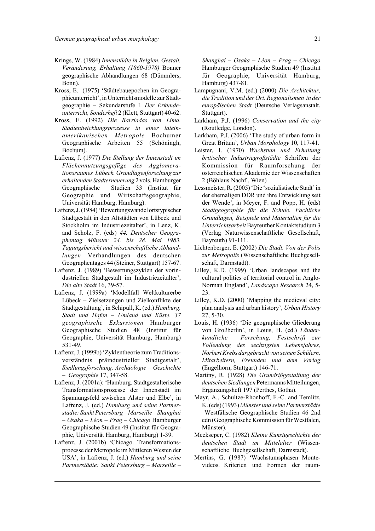- Krings, W. (1984) *Innenstädte in Belgien. Gestalt, Veränderung, Erhaltung (1860-1978)* Bonner geographische Abhandlungen 68 (Dümmlers, Bonn).
- Kross, E. (1975) 'Städtebauepochen im Geographieunterricht', in Unterrichtsmodelle zur Stadtgeographie – Sekundarstufe I. *Der Erkundeunterricht, Sonderheft* 2 (Klett, Stuttgart) 40-62.
- Kross, E. (1992) *Die Barriadas von Lima. Stadtentwicklungsprozesse in einer lateinamerikanischen Metropole* Bochumer Geographische Arbeiten 55 (Schöningh, Bochum).
- Lafrenz, J. (1977) *Die Stellung der Innenstadt im Flächennutzungsgefüge des Agglomerationsraumes Lübeck. Grundlagenforschung zur erhaltenden Stadterneuerung* 2 vols. Hamburger Geographische Studien 33 (Institut für Geographie und Wirtschaftsgeographie, Universität Hamburg, Hamburg).
- Lafrenz, J. (1984) 'Bewertungswandel ortstypischer Stadtgestalt in den Altstädten von Lübeck und Stockholm im Industriezeitalter', in Lenz, K. and Scholz, F. (eds) *44. Deutscher Geographentag Münster 24. bis 28. Mai 1983. Tagungsbericht und wissenschaftliche Abhandlungen* Verhandlungen des deutschen Geographentages 44 (Steiner, Stuttgart) 157-67.
- Lafrenz, J. (1989) 'Bewertungszyklen der vorindustriellen Stadtgestalt im Industriezeitalter', *Die alte Stadt* 16, 39-57.
- Lafrenz, J. (1999a) 'Modellfall Weltkulturerbe Lübeck – Zielsetzungen und Zielkonflikte der Stadtgestaltung', in Schipull, K. (ed.) *Hamburg. Stadt und Hafen – Umland und Küste. 37 geographische Exkursionen* Hamburger Geographische Studien 48 (Institut für Geographie, Universität Hamburg, Hamburg) 531-49.
- Lafrenz, J. (1999b) 'Zyklentheorie zum Traditionsverständnis präindustrieller Stadtgestalt', *Siedlungsforschung, Archäologie – Geschichte – Geographie* 17, 347-58.
- Lafrenz, J. (2001a): 'Hamburg. Stadtgestalterische Transformationsprozesse der Innenstadt im Spannungsfeld zwischen Alster und Elbe', in Lafrenz, J. (ed.) *Hamburg und seine Partnerstädte: Sankt Petersburg – Marseille – Shanghai – Osaka – Léon – Prag – Chicago* Hamburger Geographische Studien 49 (Institut für Geographie, Universität Hamburg, Hamburg) 1-39.
- Lafrenz, J. (2001b) 'Chicago. Transformationsprozesse der Metropole im Mittleren Westen der USA', in Lafrenz, J. (ed.) *Hamburg und seine Partnerstädte: Sankt Petersburg – Marseille –*

*Shanghai – Osaka – Léon – Prag – Chicago* Hamburger Geographische Studien 49 (Institut für Geographie, Universität Hamburg, Hamburg) 437-81.

- Lampugnani, V.M. (ed.) (2000) *Die Architektur, die Tradition und der Ort. Regionalismen in der europäischen Stadt* (Deutsche Verlagsanstalt, Stuttgart).
- Larkham, P.J. (1996) *Conservation and the city* (Routledge, London).
- Larkham, P.J. (2006) 'The study of urban form in Great Britain', *Urban Morphology* 10, 117-41.
- Leister, I. (1970) *Wachstum und Erhaltung britischer Industriegroßstädte* Schriften der Kommission für Raumforschung der österreichischen Akademie der Wissenschaften 2 (Böhlaus Nachf., Wien)
- Lessmeister, R. (2005) 'Die 'sozialistische Stadt' in der ehemaligen DDR und ihre Entwicklung seit der Wende', in Meyer, F. and Popp, H. (eds) *Stadtgeographie für die Schule. Fachliche Grundlagen, Beispiele und Materialien für die Unterrichtsarbeit* Bayreuther Kontaktstudium 3 (Verlag Naturwissenschaftliche Gesellschaft, Bayreuth) 91-111.
- Lichtenberger, E. (2002) *Die Stadt. Von der Polis zur Metropolis* (Wissenschaftliche Buchgesellschaft, Darmstadt).
- Lilley, K.D. (1999) 'Urban landscapes and the cultural politics of territorial control in Anglo-Norman England', *Landscape Research* 24, 5- 23.
- Lilley, K.D. (2000) 'Mapping the medieval city: plan analysis and urban history', *Urban History* 27, 5-30.
- Louis, H. (1936) 'Die geographische Gliederung von Großberlin', in Louis, H. (ed.) *Länderkundliche Forschung, Festschrift zur Vollendung des sechzigsten Lebensjahres, Norbert Krebs dargebracht von seinen Schülern, Mitarbeitern, Freunden und dem Verlag* (Engelhorn, Stuttgart) 146-71.
- Martiny, R. (1928) *Die Grundrißgestaltung der deutschen Siedlungen* Petermanns Mitteilungen, Ergänzungsheft 197 (Perthes, Gotha).
- Mayr, A., Schultze-Rhonhoff, F.-C. and Temlitz, K. (eds) (1993) *Münster und seine Partnerstädte* Westfälische Geographische Studien 46 2nd edn (Geographische Kommission für Westfalen, Münster).
- Meckseper, C. (1982) *Kleine Kunstgeschichte der deutschen Stadt im Mittelalter* (Wissenschaftliche Buchgesellschaft, Darmstadt).
- Mertins, G. (1987) 'Wachstumsphasen Montevideos. Kriterien und Formen der raum-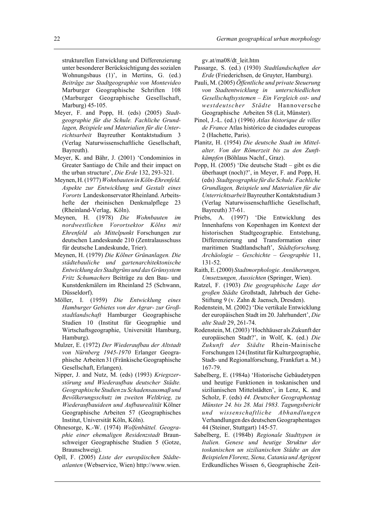strukturellen Entwicklung und Differenzierung unter besonderer Berücksichtigung des sozialen Wohnungsbaus (1)', in Mertins, G. (ed.) *Beiträge zur Stadtgeographie von Montevideo* Marburger Geographische Schriften 108 (Marburger Geographische Gesellschaft, Marburg) 45-105.

- Meyer, F. and Popp, H. (eds) (2005) *Stadtgeographie für die Schule. Fachliche Grundlagen, Beispiele und Materialien für die Unterrichtsarbeit* Bayreuther Kontaktstudium 3 (Verlag Naturwissenschaftliche Gesellschaft, Bayreuth).
- Meyer, K. and Bähr, J. (2001) 'Condominios in Greater Santiago de Chile and their impact on the urban structure', *Die Erde* 132, 293-321.
- Meynen, H. (1977) *Wohnbauten in Köln-Ehrenfeld. Aspekte zur Entwicklung und Gestalt eines Vororts* Landeskonservator Rheinland. Arbeitshefte der rheinischen Denkmalpflege 23 (Rheinland-Verlag, Köln).
- Meynen, H. (1978) *Die Wohnbauten im nordwestlichen Vorortsektor Kölns mit Ehrenfeld als Mittelpunkt* Forschungen zur deutschen Landeskunde 210 (Zentralausschuss für deutsche Landeskunde, Trier).
- Meynen, H. (1979) *Die Kölner Grünanlagen. Die städtebauliche und gartenarchitektonische Entwicklung des Stadtgrüns und das Grünsystem Fritz Schumachers* Beiträge zu den Bau- und Kunstdenkmälern im Rheinland 25 (Schwann, Düsseldorf).
- Möller, I. (1959) *Die Entwicklung eines Hamburger Gebietes von der Agrar- zur Großstadtlandschaft* Hamburger Geographische Studien 10 (Institut für Geographie und Wirtschaftsgeographie, Universität Hamburg, Hamburg).
- Mulzer, E. (1972) *Der Wiederaufbau der Altstadt von Nürnberg 1945-1970* Erlanger Geographische Arbeiten 31 (Fränkische Geographische Gesellschaft, Erlangen).
- Nipper, J. and Nutz, M. (eds) (1993) *Kriegszerstörung und Wiederaufbau deutscher Städte. Geographische Studien zu Schadensausmaß und Bevölkerungsschutz im zweiten Weltkrieg, zu Wiederaufbauideen und Aufbaurealität* Kölner Geographische Arbeiten 57 (Geographisches Institut, Universität Köln, Köln).
- Ohnesorge, K.-W. (1974) *Wolfenbüttel. Geographie einer ehemaligen Residenzstadt* Braunschweiger Geographische Studien 5 (Gotze, Braunschweig).
- Opll, F. (2005) *Liste der europäischen Städteatlanten* (Webservice, Wien) http://www.wien.

gv.at/ma08/dt\_leit.htm

- Passarge, S. (ed.) (1930) *Stadtlandschaften der Erde* (Friederichsen, de Gruyter, Hamburg).
- Pauli, M. (2005) *Öffentliche und private Steuerung von Stadtentwicklung in unterschiedlichen Gesellschaftsystemen – Ein Vergleich ost- und westdeutscher Städte* Hannoversche Geographische Arbeiten 58 (Lit, Münster).
- Pinol, J.-L. (ed.) (1996) *Atlas historique de villes de France* Atlas histórico de ciudades europeas 2 (Hachette, Paris).
- Planitz, H. (1954) *Die deutsche Stadt im Mittelalter. Von der Römerzeit bis zu den Zunftkämpfen* (Böhlaus Nachf., Graz).
- Popp, H. (2005) 'Die deutsche Stadt gibt es die überhaupt (noch)?', in Meyer, F. and Popp, H. (eds) *Stadtgeographie für die Schule. Fachliche Grundlagen, Beispiele und Materialien für die Unterrichtsarbeit* Bayreuther Kontaktstudium 3 (Verlag Naturwissenschaftliche Gesellschaft, Bayreuth) 37-61.
- Priebs, A. (1997) 'Die Entwicklung des Innenhafens von Kopenhagen im Kontext der historischen Stadtgeographie. Entstehung, Differenzierung und Transformation einer maritimen Stadtlandschaft', *Städteforschung. Archäologie – Geschichte – Geographie* 11, 131-52.
- Raith, E. (2000) *Stadtmorphologie. Annäherungen, Umsetzungen, Aussichten* (Springer, Wien).
- Ratzel, F. (1903) *Die geographische Lage der großen Städte* Großstadt, Jahrbuch der Gehe-Stiftung 9 (v. Zahn & Jaensch, Dresden).
- Rodenstein, M. (2002) 'Die vertikale Entwicklung der europäischen Stadt im 20. Jahrhundert', *Die alte Stadt* 29, 261-74.
- Rodenstein, M. (2003) 'Hochhäuser als Zukunft der europäischen Stadt?', in Wolf, K. (ed.) *Die Zukunft der Städte* Rhein-Mainische Forschungen 124 (Institut für Kulturgeographie, Stadt- und Regionalforschung, Frankfurt a. M.) 167-79.
- Sabelberg, E. (1984a) 'Historische Gebäudetypen und heutige Funktionen in toskanischen und sizilianischen Mittelstädten', in Lenz, K. and Scholz, F. (eds) *44. Deutscher Geographentag Münster 24. bis 28. Mai 1983. Tagungsbericht und wissenschaftliche Abhandlungen* Verhandlungen des deutschen Geographentages 44 (Steiner, Stuttgart) 145-57.
- Sabelberg, E. (1984b) *Regionale Stadttypen in Italien. Genese und heutige Struktur der toskanischen un sizilianischen Städte an den Beispielen Florenz, Siena, Catania und Agrigent* Erdkundliches Wissen 6, Geographische Zeit-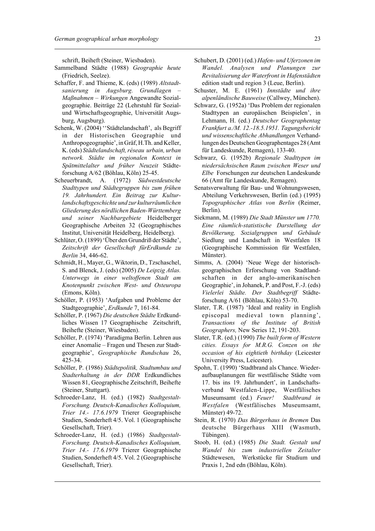schrift, Beiheft (Steiner, Wiesbaden).

- Sammelband Städte (1988) *Geographie heute* (Friedrich, Seelze).
- Schaffer, F. and Thieme, K. (eds) (1989) *Altstadtsanierung in Augsburg. Grundlagen – Maßnahmen – Wirkungen* Angewandte Sozialgeographie. Beiträge 22 (Lehrstuhl für Sozialund Wirtschaftsgeographie, Universität Augsburg, Augsburg).
- Schenk, W. (2004) ''Städtelandschaft', als Begriff in der Historischen Geographie und Anthropogeographie', in Gräf, H.Th. and Keller, K. (eds) *Städtelandschaft, réseau urbain, urban network. Städte im regionalen Kontext in Spätmittelalter und früher Neuzeit* Städteforschung A/62 (Böhlau, Köln) 25-45.
- Scheuerbrandt, A. (1972) *Südwestdeutsche Stadttypen und Städtegruppen bis zum frühen 19. Jahrhundert. Ein Beitrag zur Kulturlandschaftsgeschichte und zur kulturräumlichen Gliederung des nördlichen Baden-Württemberg und seiner Nachbargebiete* Heidelberger Geographische Arbeiten 32 (Geographisches Institut, Universität Heidelberg, Heidelberg).
- Schlüter, O. (1899) 'Über den Grundriß der Städte', *Zeitschrift der Gesellschaft fürErdkunde zu Berlin* 34, 446-62.
- Schmidt, H., Mayer, G., Wiktorin, D., Tzschaschel, S. and Blenck, J. (eds) (2005) *De Leipzig Atlas. Unterwegs in einer weltoffenen Stadt am Knotenpunkt zwischen West- und Osteuropa* (Emons, Köln).
- Schöller, P. (1953) 'Aufgaben und Probleme der Stadtgeographie', *Erdkunde* 7, 161-84.
- Schöller, P. (1967) *Die deutschen Städte* Erdkundliches Wissen 17 Geographische Zeitschrift, Beihefte (Steiner, Wiesbaden).
- Schöller, P. (1974) 'Paradigma Berlin. Lehren aus einer Anomalie – Fragen und Thesen zur Stadtgeographie', *Geographische Rundschau* 26, 425-34.
- Schöller, P. (1986) *Städtepolitik, Stadtumbau und Stadterhaltung in der DDR* Erdkundliches Wissen 81, Geographische Zeitschrift, Beihefte (Steiner, Stuttgart).
- Schroeder-Lanz, H. (ed.) (1982) *Stadtgestalt-Forschung. Deutsch-Kanadisches Kolloquium, Trier 14.- 17.6.1979* Trierer Geographische Studien, Sonderheft 4/5. Vol. 1 (Geographische Gesellschaft, Trier).
- Schroeder-Lanz, H. (ed.) (1986) *Stadtgestalt-Forschung. Deutsch-Kanadisches Kolloquium, Trier 14.- 17.6.1979* Trierer Geographische Studien, Sonderheft 4/5. Vol. 2 (Geographische Gesellschaft, Trier).
- Schubert, D. (2001) (ed.) *Hafen- und Uferzonen im Wandel. Analysen und Planungen zur Revitalisierung der Waterfront in Hafenstädten* edition stadt und region 3 (Leue, Berlin).
- Schuster, M. E. (1961) *Innstädte und ihre alpenländische Bauweise* (Callwey, München).
- Schwarz, G. (1952a) 'Das Problem der regionalen Stadttypen an europäischen Beispielen', in Lehmann, H. (ed.) *Deutscher Geographentag Frankfurt a./M. 12.-18.5.1951. Tagungsbericht und wissenschaftliche Abhandlungen* Verhandlungen des Deutschen Geographentages 28 (Amt für Landeskunde, Remagen), 133-40.
- Schwarz, G. (1952b) *Regionale Stadttypen im niedersächsischen Raum zwischen Weser und Elbe* Forschungen zur deutschen Landeskunde 66 (Amt für Landeskunde, Remagen).
- Senatsverwaltung für Bau- und Wohnungswesen, Abteilung Verkehrswesen, Berlin (ed.) (1995) *Topographischer Atlas von Berlin* (Reimer, Berlin).
- Siekmann, M. (1989) *Die Stadt Münster um 1770. Eine räumlich-statistische Darstellung der Bevölkerung, Sozialgruppen und Gebäude* Siedlung und Landschaft in Westfalen 18 (Geographische Kommission für Westfalen, Münster).
- Simms, A. (2004) 'Neue Wege der historischgeographischen Erforschung von Stadtlandschaften in der anglo-amerikanischen Geographie', in Johanek, P. and Post, F.-J. (eds) *Vielerlei Städte. Der Stadtbegriff* Städteforschung A/61 (Böhlau, Köln) 53-70.
- Slater, T.R. (1987) 'Ideal and reality in English episcopal medieval town planning', *Transactions of the Institute of British Geographers,* New Series 12, 191-203.
- Slater, T.R. (ed.) (1990) *The built form of Western cities. Essays for M.R.G. Conzen on the occasion of his eightieth birthday* (Leicester University Press, Leicester).
- Spohn, T. (1990) 'Stadtbrand als Chance. Wiederaufbauplanungen für westfälische Städte vom 17. bis ins 19. Jahrhundert', in Landschaftsverband Westfalen-Lippe, Westfälisches Museumsamt (ed.) *Feuer! Stadtbrand in Westfalen* (Westfälisches Museumsamt, Münster) 49-72.
- Stein, R. (1970) *Das Bürgerhaus in Bremen* Das deutsche Bürgerhaus XIII (Wasmuth, Tübingen).
- Stoob, H. (ed.) (1985) *Die Stadt. Gestalt und Wandel bis zum industriellen Zeitalter* Städtewesen, Werkstücke für Studium und Praxis 1, 2nd edn (Böhlau, Köln).